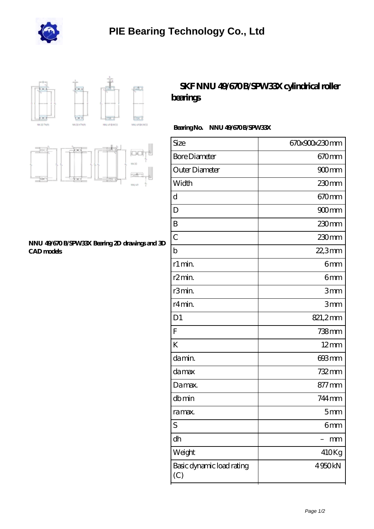



# **iOC** 信者

#### **[NNU 49/670 B/SPW33X Bearing 2D drawings and 3D](https://mdajf.com/pic-143284.html) [CAD models](https://mdajf.com/pic-143284.html)**

## SKF NNU 49/670B/SPW33X cylindrical roller **[bearings](https://mdajf.com/ar-143284-skf-nnu-49-670-b-spw33x-cylindrical-roller-bearings.html)**

### Bearing No. NNU 49/670 B/SPW33X

| Size                             | 670x900x230mm       |
|----------------------------------|---------------------|
| <b>Bore Diameter</b>             | 670 <sub>mm</sub>   |
| Outer Diameter                   | $900$ mm            |
| Width                            | 230mm               |
| d                                | 670 <sub>mm</sub>   |
| D                                | $900$ <sub>mm</sub> |
| B                                | 230mm               |
| $\overline{C}$                   | 230mm               |
| $\mathbf b$                      | 22,3mm              |
| r1 min.                          | 6mm                 |
| r2min.                           | 6mm                 |
| r3min.                           | 3mm                 |
| r4 min.                          | 3mm                 |
| D <sub>1</sub>                   | 821,2mm             |
| $\overline{F}$                   | 738mm               |
| K                                | $12 \text{mm}$      |
| da min.                          | 693mm               |
| da max                           | 732mm               |
| Damax.                           | 877 mm              |
| dbmin                            | 744 mm              |
| ra max.                          | 5 <sub>mm</sub>     |
| S                                | 6mm                 |
| dh                               | mm                  |
| Weight                           | 410Kg               |
| Basic dynamic load rating<br>(C) | 4950kN              |